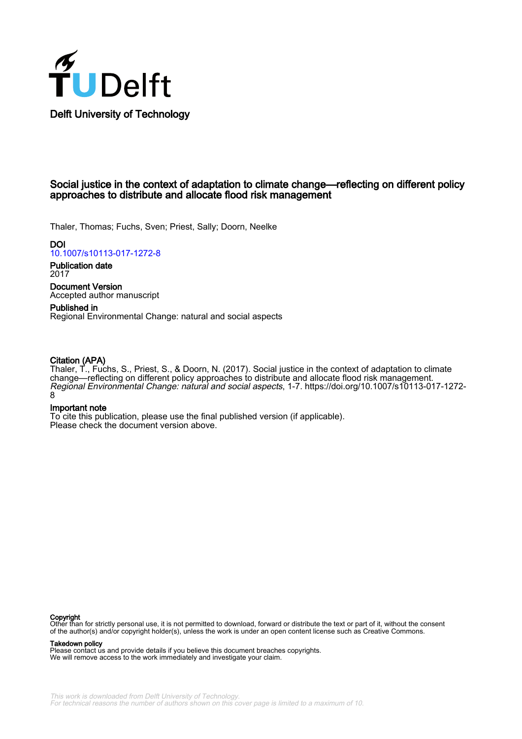

# Social justice in the context of adaptation to climate change—reflecting on different policy approaches to distribute and allocate flood risk management

Thaler, Thomas; Fuchs, Sven; Priest, Sally; Doorn, Neelke

**DOI** [10.1007/s10113-017-1272-8](https://doi.org/10.1007/s10113-017-1272-8)

Publication date 2017

Document Version Accepted author manuscript

Published in Regional Environmental Change: natural and social aspects

## Citation (APA)

Thaler, T., Fuchs, S., Priest, S., & Doorn, N. (2017). Social justice in the context of adaptation to climate change—reflecting on different policy approaches to distribute and allocate flood risk management. Regional Environmental Change: natural and social aspects, 1-7. [https://doi.org/10.1007/s10113-017-1272-](https://doi.org/10.1007/s10113-017-1272-8) [8](https://doi.org/10.1007/s10113-017-1272-8)

### Important note

To cite this publication, please use the final published version (if applicable). Please check the document version above.

**Copyright**<br>Other than for strictly personal use, it is not permitted to download, forward or distribute the text or part of it, without the consent of the author(s) and/or copyright holder(s), unless the work is under an open content license such as Creative Commons.

Takedown policy

Please contact us and provide details if you believe this document breaches copyrights. We will remove access to the work immediately and investigate your claim.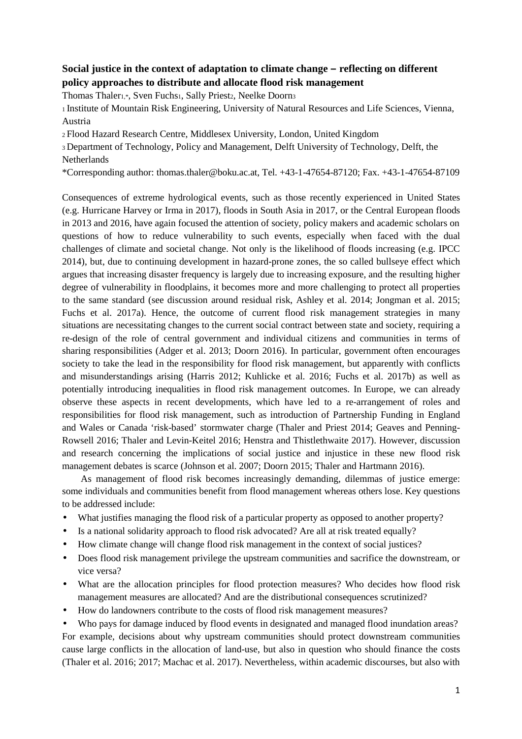# **Social justice in the context of adaptation to climate change – reflecting on different policy approaches to distribute and allocate flood risk management**

Thomas Thaler<sub>1,\*</sub>, Sven Fuchs<sub>1</sub>, Sally Priest<sub>2</sub>, Neelke Doorn<sub>3</sub>

<sup>1</sup>Institute of Mountain Risk Engineering, University of Natural Resources and Life Sciences, Vienna, Austria

<sup>2</sup>Flood Hazard Research Centre, Middlesex University, London, United Kingdom

<sup>3</sup>Department of Technology, Policy and Management, Delft University of Technology, Delft, the **Netherlands** 

\*Corresponding author: thomas.thaler@boku.ac.at, Tel. +43-1-47654-87120; Fax. +43-1-47654-87109

Consequences of extreme hydrological events, such as those recently experienced in United States (e.g. Hurricane Harvey or Irma in 2017), floods in South Asia in 2017, or the Central European floods in 2013 and 2016, have again focused the attention of society, policy makers and academic scholars on questions of how to reduce vulnerability to such events, especially when faced with the dual challenges of climate and societal change. Not only is the likelihood of floods increasing (e.g. IPCC 2014), but, due to continuing development in hazard-prone zones, the so called bullseye effect which argues that increasing disaster frequency is largely due to increasing exposure, and the resulting higher degree of vulnerability in floodplains, it becomes more and more challenging to protect all properties to the same standard (see discussion around residual risk, Ashley et al. 2014; Jongman et al. 2015; Fuchs et al. 2017a). Hence, the outcome of current flood risk management strategies in many situations are necessitating changes to the current social contract between state and society, requiring a re-design of the role of central government and individual citizens and communities in terms of sharing responsibilities (Adger et al. 2013; Doorn 2016). In particular, government often encourages society to take the lead in the responsibility for flood risk management, but apparently with conflicts and misunderstandings arising (Harris 2012; Kuhlicke et al. 2016; Fuchs et al. 2017b) as well as potentially introducing inequalities in flood risk management outcomes. In Europe, we can already observe these aspects in recent developments, which have led to a re-arrangement of roles and responsibilities for flood risk management, such as introduction of Partnership Funding in England and Wales or Canada 'risk-based' stormwater charge (Thaler and Priest 2014; Geaves and Penning-Rowsell 2016; Thaler and Levin-Keitel 2016; Henstra and Thistlethwaite 2017). However, discussion and research concerning the implications of social justice and injustice in these new flood risk management debates is scarce (Johnson et al. 2007; Doorn 2015; Thaler and Hartmann 2016).

As management of flood risk becomes increasingly demanding, dilemmas of justice emerge: some individuals and communities benefit from flood management whereas others lose. Key questions to be addressed include:

- What justifies managing the flood risk of a particular property as opposed to another property?
- Is a national solidarity approach to flood risk advocated? Are all at risk treated equally?
- How climate change will change flood risk management in the context of social justices?
- Does flood risk management privilege the upstream communities and sacrifice the downstream, or vice versa?
- What are the allocation principles for flood protection measures? Who decides how flood risk management measures are allocated? And are the distributional consequences scrutinized?
- How do landowners contribute to the costs of flood risk management measures?

Who pays for damage induced by flood events in designated and managed flood inundation areas? For example, decisions about why upstream communities should protect downstream communities cause large conflicts in the allocation of land-use, but also in question who should finance the costs (Thaler et al. 2016; 2017; Machac et al. 2017). Nevertheless, within academic discourses, but also with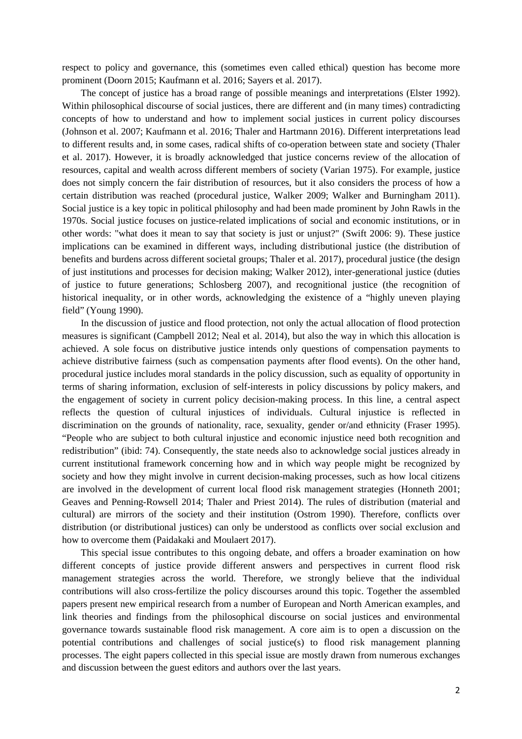respect to policy and governance, this (sometimes even called ethical) question has become more prominent (Doorn 2015; Kaufmann et al. 2016; Sayers et al. 2017).

The concept of justice has a broad range of possible meanings and interpretations (Elster 1992). Within philosophical discourse of social justices, there are different and (in many times) contradicting concepts of how to understand and how to implement social justices in current policy discourses (Johnson et al. 2007; Kaufmann et al. 2016; Thaler and Hartmann 2016). Different interpretations lead to different results and, in some cases, radical shifts of co-operation between state and society (Thaler et al. 2017). However, it is broadly acknowledged that justice concerns review of the allocation of resources, capital and wealth across different members of society (Varian 1975). For example, justice does not simply concern the fair distribution of resources, but it also considers the process of how a certain distribution was reached (procedural justice, Walker 2009; Walker and Burningham 2011). Social justice is a key topic in political philosophy and had been made prominent by John Rawls in the 1970s. Social justice focuses on justice-related implications of social and economic institutions, or in other words: "what does it mean to say that society is just or unjust?" (Swift 2006: 9). These justice implications can be examined in different ways, including distributional justice (the distribution of benefits and burdens across different societal groups; Thaler et al. 2017), procedural justice (the design of just institutions and processes for decision making; Walker 2012), inter-generational justice (duties of justice to future generations; Schlosberg 2007), and recognitional justice (the recognition of historical inequality, or in other words, acknowledging the existence of a "highly uneven playing field" (Young 1990).

In the discussion of justice and flood protection, not only the actual allocation of flood protection measures is significant (Campbell 2012; Neal et al. 2014), but also the way in which this allocation is achieved. A sole focus on distributive justice intends only questions of compensation payments to achieve distributive fairness (such as compensation payments after flood events). On the other hand, procedural justice includes moral standards in the policy discussion, such as equality of opportunity in terms of sharing information, exclusion of self-interests in policy discussions by policy makers, and the engagement of society in current policy decision-making process. In this line, a central aspect reflects the question of cultural injustices of individuals. Cultural injustice is reflected in discrimination on the grounds of nationality, race, sexuality, gender or/and ethnicity (Fraser 1995). "People who are subject to both cultural injustice and economic injustice need both recognition and redistribution" (ibid: 74). Consequently, the state needs also to acknowledge social justices already in current institutional framework concerning how and in which way people might be recognized by society and how they might involve in current decision-making processes, such as how local citizens are involved in the development of current local flood risk management strategies (Honneth 2001; Geaves and Penning-Rowsell 2014; Thaler and Priest 2014). The rules of distribution (material and cultural) are mirrors of the society and their institution (Ostrom 1990). Therefore, conflicts over distribution (or distributional justices) can only be understood as conflicts over social exclusion and how to overcome them (Paidakaki and Moulaert 2017).

This special issue contributes to this ongoing debate, and offers a broader examination on how different concepts of justice provide different answers and perspectives in current flood risk management strategies across the world. Therefore, we strongly believe that the individual contributions will also cross-fertilize the policy discourses around this topic. Together the assembled papers present new empirical research from a number of European and North American examples, and link theories and findings from the philosophical discourse on social justices and environmental governance towards sustainable flood risk management. A core aim is to open a discussion on the potential contributions and challenges of social justice(s) to flood risk management planning processes. The eight papers collected in this special issue are mostly drawn from numerous exchanges and discussion between the guest editors and authors over the last years.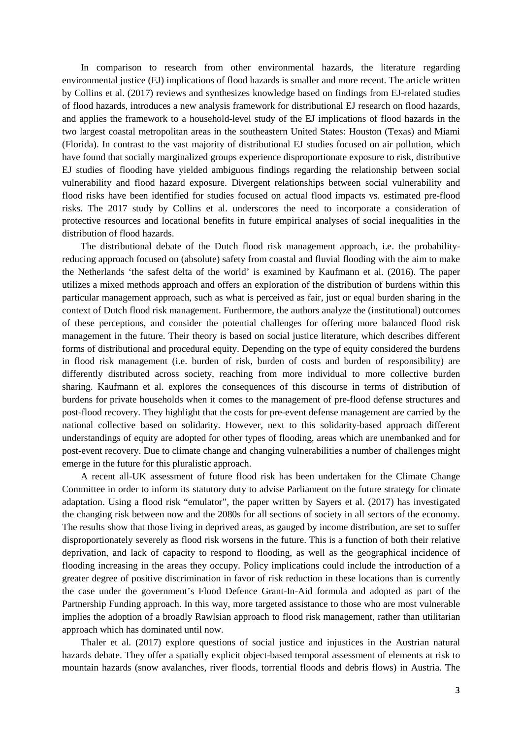In comparison to research from other environmental hazards, the literature regarding environmental justice (EJ) implications of flood hazards is smaller and more recent. The article written by Collins et al. (2017) reviews and synthesizes knowledge based on findings from EJ-related studies of flood hazards, introduces a new analysis framework for distributional EJ research on flood hazards, and applies the framework to a household-level study of the EJ implications of flood hazards in the two largest coastal metropolitan areas in the southeastern United States: Houston (Texas) and Miami (Florida). In contrast to the vast majority of distributional EJ studies focused on air pollution, which have found that socially marginalized groups experience disproportionate exposure to risk, distributive EJ studies of flooding have yielded ambiguous findings regarding the relationship between social vulnerability and flood hazard exposure. Divergent relationships between social vulnerability and flood risks have been identified for studies focused on actual flood impacts vs. estimated pre-flood risks. The 2017 study by Collins et al. underscores the need to incorporate a consideration of protective resources and locational benefits in future empirical analyses of social inequalities in the distribution of flood hazards.

The distributional debate of the Dutch flood risk management approach, i.e. the probabilityreducing approach focused on (absolute) safety from coastal and fluvial flooding with the aim to make the Netherlands 'the safest delta of the world' is examined by Kaufmann et al. (2016). The paper utilizes a mixed methods approach and offers an exploration of the distribution of burdens within this particular management approach, such as what is perceived as fair, just or equal burden sharing in the context of Dutch flood risk management. Furthermore, the authors analyze the (institutional) outcomes of these perceptions, and consider the potential challenges for offering more balanced flood risk management in the future. Their theory is based on social justice literature, which describes different forms of distributional and procedural equity. Depending on the type of equity considered the burdens in flood risk management (i.e. burden of risk, burden of costs and burden of responsibility) are differently distributed across society, reaching from more individual to more collective burden sharing. Kaufmann et al. explores the consequences of this discourse in terms of distribution of burdens for private households when it comes to the management of pre-flood defense structures and post-flood recovery. They highlight that the costs for pre-event defense management are carried by the national collective based on solidarity. However, next to this solidarity-based approach different understandings of equity are adopted for other types of flooding, areas which are unembanked and for post-event recovery. Due to climate change and changing vulnerabilities a number of challenges might emerge in the future for this pluralistic approach.

A recent all-UK assessment of future flood risk has been undertaken for the Climate Change Committee in order to inform its statutory duty to advise Parliament on the future strategy for climate adaptation. Using a flood risk "emulator", the paper written by Sayers et al. (2017) has investigated the changing risk between now and the 2080s for all sections of society in all sectors of the economy. The results show that those living in deprived areas, as gauged by income distribution, are set to suffer disproportionately severely as flood risk worsens in the future. This is a function of both their relative deprivation, and lack of capacity to respond to flooding, as well as the geographical incidence of flooding increasing in the areas they occupy. Policy implications could include the introduction of a greater degree of positive discrimination in favor of risk reduction in these locations than is currently the case under the government's Flood Defence Grant-In-Aid formula and adopted as part of the Partnership Funding approach. In this way, more targeted assistance to those who are most vulnerable implies the adoption of a broadly Rawlsian approach to flood risk management, rather than utilitarian approach which has dominated until now.

Thaler et al. (2017) explore questions of social justice and injustices in the Austrian natural hazards debate. They offer a spatially explicit object-based temporal assessment of elements at risk to mountain hazards (snow avalanches, river floods, torrential floods and debris flows) in Austria. The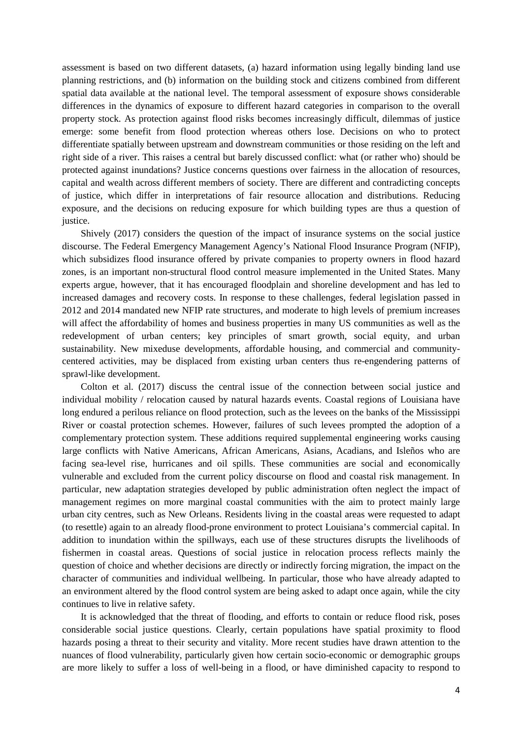assessment is based on two different datasets, (a) hazard information using legally binding land use planning restrictions, and (b) information on the building stock and citizens combined from different spatial data available at the national level. The temporal assessment of exposure shows considerable differences in the dynamics of exposure to different hazard categories in comparison to the overall property stock. As protection against flood risks becomes increasingly difficult, dilemmas of justice emerge: some benefit from flood protection whereas others lose. Decisions on who to protect differentiate spatially between upstream and downstream communities or those residing on the left and right side of a river. This raises a central but barely discussed conflict: what (or rather who) should be protected against inundations? Justice concerns questions over fairness in the allocation of resources, capital and wealth across different members of society. There are different and contradicting concepts of justice, which differ in interpretations of fair resource allocation and distributions. Reducing exposure, and the decisions on reducing exposure for which building types are thus a question of justice.

Shively (2017) considers the question of the impact of insurance systems on the social justice discourse. The Federal Emergency Management Agency's National Flood Insurance Program (NFIP), which subsidizes flood insurance offered by private companies to property owners in flood hazard zones, is an important non-structural flood control measure implemented in the United States. Many experts argue, however, that it has encouraged floodplain and shoreline development and has led to increased damages and recovery costs. In response to these challenges, federal legislation passed in 2012 and 2014 mandated new NFIP rate structures, and moderate to high levels of premium increases will affect the affordability of homes and business properties in many US communities as well as the redevelopment of urban centers; key principles of smart growth, social equity, and urban sustainability. New mixeduse developments, affordable housing, and commercial and communitycentered activities, may be displaced from existing urban centers thus re-engendering patterns of sprawl-like development.

Colton et al. (2017) discuss the central issue of the connection between social justice and individual mobility / relocation caused by natural hazards events. Coastal regions of Louisiana have long endured a perilous reliance on flood protection, such as the levees on the banks of the Mississippi River or coastal protection schemes. However, failures of such levees prompted the adoption of a complementary protection system. These additions required supplemental engineering works causing large conflicts with Native Americans, African Americans, Asians, Acadians, and Isleños who are facing sea-level rise, hurricanes and oil spills. These communities are social and economically vulnerable and excluded from the current policy discourse on flood and coastal risk management. In particular, new adaptation strategies developed by public administration often neglect the impact of management regimes on more marginal coastal communities with the aim to protect mainly large urban city centres, such as New Orleans. Residents living in the coastal areas were requested to adapt (to resettle) again to an already flood-prone environment to protect Louisiana's commercial capital. In addition to inundation within the spillways, each use of these structures disrupts the livelihoods of fishermen in coastal areas. Questions of social justice in relocation process reflects mainly the question of choice and whether decisions are directly or indirectly forcing migration, the impact on the character of communities and individual wellbeing. In particular, those who have already adapted to an environment altered by the flood control system are being asked to adapt once again, while the city continues to live in relative safety.

It is acknowledged that the threat of flooding, and efforts to contain or reduce flood risk, poses considerable social justice questions. Clearly, certain populations have spatial proximity to flood hazards posing a threat to their security and vitality. More recent studies have drawn attention to the nuances of flood vulnerability, particularly given how certain socio-economic or demographic groups are more likely to suffer a loss of well-being in a flood, or have diminished capacity to respond to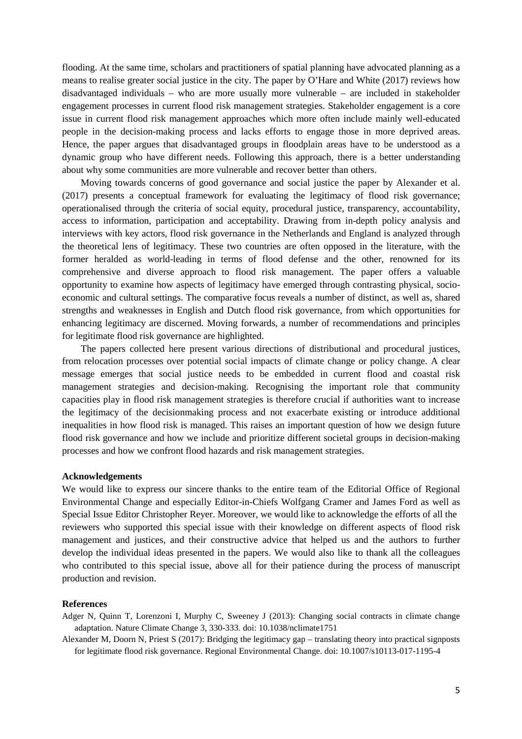flooding. At the same time, scholars and practitioners of spatial planning have advocated planning as a means to realise greater social justice in the city. The paper by O'Hare and White (2017) reviews how disadvantaged individuals – who are more usually more vulnerable – are included in stakeholder engagement processes in current flood risk management strategies. Stakeholder engagement is a core issue in current flood risk management approaches which more often include mainly well-educated people in the decision-making process and lacks efforts to engage those in more deprived areas. Hence, the paper argues that disadvantaged groups in floodplain areas have to be understood as a dynamic group who have different needs. Following this approach, there is a better understanding about why some communities are more vulnerable and recover better than others.

Moving towards concerns of good governance and social justice the paper by Alexander et al. (2017) presents a conceptual framework for evaluating the legitimacy of flood risk governance; operationalised through the criteria of social equity, procedural justice, transparency, accountability, access to information, participation and acceptability. Drawing from in-depth policy analysis and interviews with key actors, flood risk governance in the Netherlands and England is analyzed through the theoretical lens of legitimacy. These two countries are often opposed in the literature, with the former heralded as world-leading in terms of flood defense and the other, renowned for its comprehensive and diverse approach to flood risk management. The paper offers a valuable opportunity to examine how aspects of legitimacy have emerged through contrasting physical, socioeconomic and cultural settings. The comparative focus reveals a number of distinct, as well as, shared strengths and weaknesses in English and Dutch flood risk governance, from which opportunities for enhancing legitimacy are discerned. Moving forwards, a number of recommendations and principles for legitimate flood risk governance are highlighted.

The papers collected here present various directions of distributional and procedural justices, from relocation processes over potential social impacts of climate change or policy change. A clear message emerges that social justice needs to be embedded in current flood and coastal risk management strategies and decision-making. Recognising the important role that community capacities play in flood risk management strategies is therefore crucial if authorities want to increase the legitimacy of the decisionmaking process and not exacerbate existing or introduce additional inequalities in how flood risk is managed. This raises an important question of how we design future flood risk governance and how we include and prioritize different societal groups in decision-making processes and how we confront flood hazards and risk management strategies.

# **Acknowledgements**

We would like to express our sincere thanks to the entire team of the Editorial Office of Regional Environmental Change and especially Editor-in-Chiefs Wolfgang Cramer and James Ford as well as Special Issue Editor Christopher Reyer. Moreover, we would like to acknowledge the efforts of all the reviewers who supported this special issue with their knowledge on different aspects of flood risk management and justices, and their constructive advice that helped us and the authors to further develop the individual ideas presented in the papers. We would also like to thank all the colleagues who contributed to this special issue, above all for their patience during the process of manuscript production and revision.

## **References**

- Adger N, Quinn T, Lorenzoni I, Murphy C, Sweeney J (2013): Changing social contracts in climate change adaptation. Nature Climate Change 3, 330-333. doi: 10.1038/nclimate1751
- Alexander M, Doorn N, Priest S (2017): Bridging the legitimacy gap translating theory into practical signposts for legitimate flood risk governance. Regional Environmental Change. doi: 10.1007/s10113-017-1195-4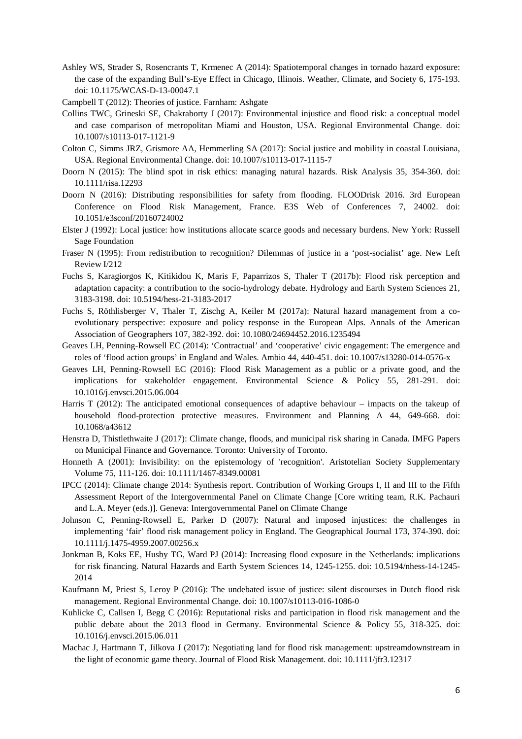- Ashley WS, Strader S, Rosencrants T, Krmenec A (2014): Spatiotemporal changes in tornado hazard exposure: the case of the expanding Bull's-Eye Effect in Chicago, Illinois. Weather, Climate, and Society 6, 175-193. doi: 10.1175/WCAS-D-13-00047.1
- Campbell T (2012): Theories of justice. Farnham: Ashgate
- Collins TWC, Grineski SE, Chakraborty J (2017): Environmental injustice and flood risk: a conceptual model and case comparison of metropolitan Miami and Houston, USA. Regional Environmental Change. doi: 10.1007/s10113-017-1121-9
- Colton C, Simms JRZ, Grismore AA, Hemmerling SA (2017): Social justice and mobility in coastal Louisiana, USA. Regional Environmental Change. doi: 10.1007/s10113-017-1115-7
- Doorn N (2015): The blind spot in risk ethics: managing natural hazards. Risk Analysis 35, 354-360. doi: 10.1111/risa.12293
- Doorn N (2016): Distributing responsibilities for safety from flooding. FLOODrisk 2016. 3rd European Conference on Flood Risk Management, France. E3S Web of Conferences 7, 24002. doi: 10.1051/e3sconf/20160724002
- Elster J (1992): Local justice: how institutions allocate scarce goods and necessary burdens. New York: Russell Sage Foundation
- Fraser N (1995): From redistribution to recognition? Dilemmas of justice in a 'post-socialist' age. New Left Review I/212
- Fuchs S, Karagiorgos K, Kitikidou K, Maris F, Paparrizos S, Thaler T (2017b): Flood risk perception and adaptation capacity: a contribution to the socio-hydrology debate. Hydrology and Earth System Sciences 21, 3183-3198. doi: 10.5194/hess-21-3183-2017
- Fuchs S, Röthlisberger V, Thaler T, Zischg A, Keiler M (2017a): Natural hazard management from a coevolutionary perspective: exposure and policy response in the European Alps. Annals of the American Association of Geographers 107, 382-392. doi: 10.1080/24694452.2016.1235494
- Geaves LH, Penning-Rowsell EC (2014): 'Contractual' and 'cooperative' civic engagement: The emergence and roles of 'flood action groups' in England and Wales. Ambio 44, 440-451. doi: 10.1007/s13280-014-0576-x
- Geaves LH, Penning-Rowsell EC (2016): Flood Risk Management as a public or a private good, and the implications for stakeholder engagement. Environmental Science & Policy 55, 281-291. doi: 10.1016/j.envsci.2015.06.004
- Harris T (2012): The anticipated emotional consequences of adaptive behaviour impacts on the takeup of household flood-protection protective measures. Environment and Planning A 44, 649-668. doi: 10.1068/a43612
- Henstra D, Thistlethwaite J (2017): Climate change, floods, and municipal risk sharing in Canada. IMFG Papers on Municipal Finance and Governance. Toronto: University of Toronto.
- Honneth A (2001): Invisibility: on the epistemology of 'recognition'. Aristotelian Society Supplementary Volume 75, 111-126. doi: 10.1111/1467-8349.00081
- IPCC (2014): Climate change 2014: Synthesis report. Contribution of Working Groups I, II and III to the Fifth Assessment Report of the Intergovernmental Panel on Climate Change [Core writing team, R.K. Pachauri and L.A. Meyer (eds.)]. Geneva: Intergovernmental Panel on Climate Change
- Johnson C, Penning-Rowsell E, Parker D (2007): Natural and imposed injustices: the challenges in implementing 'fair' flood risk management policy in England. The Geographical Journal 173, 374-390. doi: 10.1111/j.1475-4959.2007.00256.x
- Jonkman B, Koks EE, Husby TG, Ward PJ (2014): Increasing flood exposure in the Netherlands: implications for risk financing. Natural Hazards and Earth System Sciences 14, 1245-1255. doi: 10.5194/nhess-14-1245- 2014
- Kaufmann M, Priest S, Leroy P (2016): The undebated issue of justice: silent discourses in Dutch flood risk management. Regional Environmental Change. doi: 10.1007/s10113-016-1086-0
- Kuhlicke C, Callsen I, Begg C (2016): Reputational risks and participation in flood risk management and the public debate about the 2013 flood in Germany. Environmental Science & Policy 55, 318-325. doi: 10.1016/j.envsci.2015.06.011
- Machac J, Hartmann T, Jilkova J (2017): Negotiating land for flood risk management: upstreamdownstream in the light of economic game theory. Journal of Flood Risk Management. doi: 10.1111/jfr3.12317